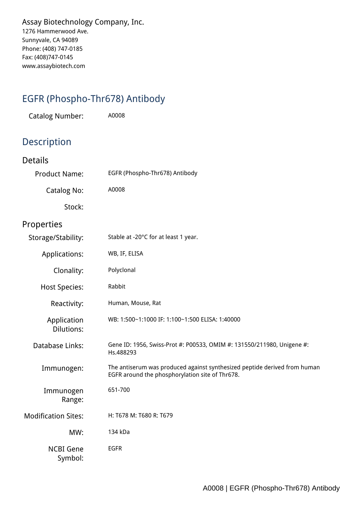*Assay Biotechnology Company, Inc. 1276 Hammerwood Ave. Sunnyvale, CA 94089 Phone: (408) 747-0185 Fax: (408)747-0145 www.assaybiotech.com*

## *EGFR (Phospho-Thr678) Antibody*

*Catalog Number: A0008*

## *Description*

| <b>Details</b>                   |                                                                                                                              |
|----------------------------------|------------------------------------------------------------------------------------------------------------------------------|
| <b>Product Name:</b>             | EGFR (Phospho-Thr678) Antibody                                                                                               |
| <b>Catalog No:</b>               | A0008                                                                                                                        |
| Stock:                           |                                                                                                                              |
| Properties                       |                                                                                                                              |
| Storage/Stability:               | Stable at -20°C for at least 1 year.                                                                                         |
| Applications:                    | WB, IF, ELISA                                                                                                                |
| Clonality:                       | Polyclonal                                                                                                                   |
| <b>Host Species:</b>             | Rabbit                                                                                                                       |
| Reactivity:                      | Human, Mouse, Rat                                                                                                            |
| Application<br><b>Dilutions:</b> | WB: 1:500~1:1000 IF: 1:100~1:500 ELISA: 1:40000                                                                              |
| Database Links:                  | Gene ID: 1956, Swiss-Prot #: P00533, OMIM #: 131550/211980, Unigene #:<br>Hs.488293                                          |
| Immunogen:                       | The antiserum was produced against synthesized peptide derived from human<br>EGFR around the phosphorylation site of Thr678. |
| Immunogen<br>Range:              | 651-700                                                                                                                      |
| <b>Modification Sites:</b>       | H: T678 M: T680 R: T679                                                                                                      |
| MW:                              | 134 kDa                                                                                                                      |
| <b>NCBI Gene</b><br>Symbol:      | <b>EGFR</b>                                                                                                                  |